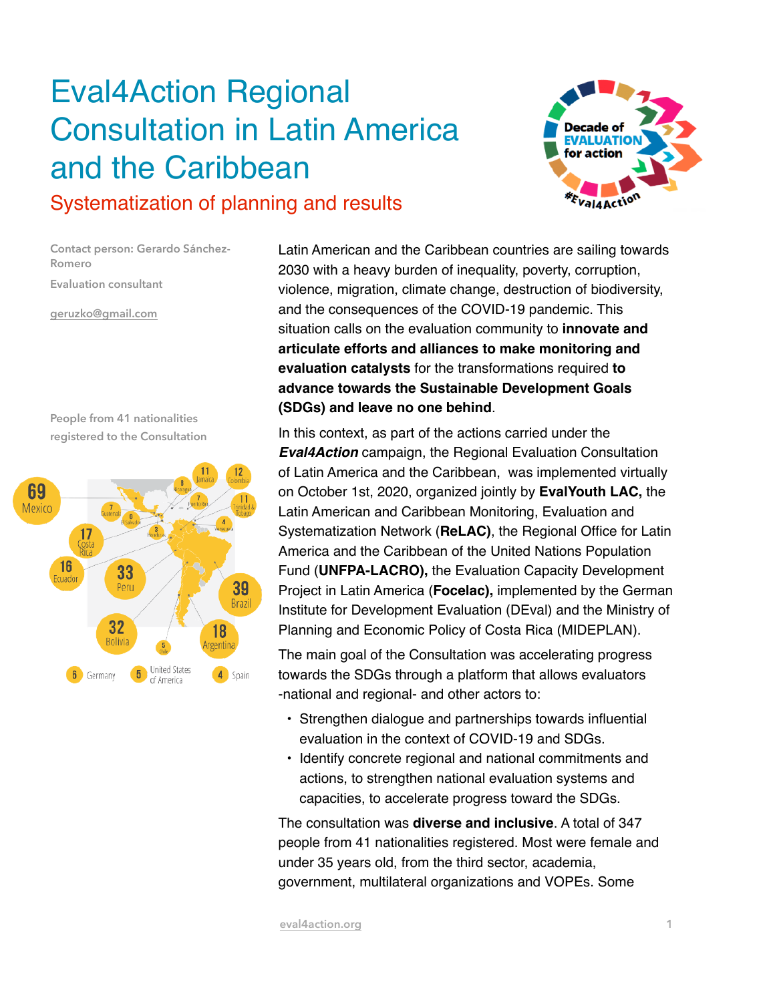## Eval4Action Regional Consultation in Latin America and the Caribbean



## Systematization of planning and results

**Contact person: Gerardo Sánchez-Romero Evaluation consultant**

**[geruzko@gmail.com](mailto:geruzko@gmail.com)**

**People from 41 nationalities registered to the Consultation**



Latin American and the Caribbean countries are sailing towards 2030 with a heavy burden of inequality, poverty, corruption, violence, migration, climate change, destruction of biodiversity, and the consequences of the COVID-19 pandemic. This situation calls on the evaluation community to **innovate and articulate efforts and alliances to make monitoring and evaluation catalysts** for the transformations required **to advance towards the Sustainable Development Goals (SDGs) and leave no one behind**.

In this context, as part of the actions carried under the *Eval4Action* campaign, the Regional Evaluation Consultation of Latin America and the Caribbean, was implemented virtually on October 1st, 2020, organized jointly by **EvalYouth LAC,** the Latin American and Caribbean Monitoring, Evaluation and Systematization Network (**ReLAC)**, the Regional Office for Latin America and the Caribbean of the United Nations Population Fund (**UNFPA-LACRO),** the Evaluation Capacity Development Project in Latin America (**Focelac),** implemented by the German Institute for Development Evaluation (DEval) and the Ministry of Planning and Economic Policy of Costa Rica (MIDEPLAN).

The main goal of the Consultation was accelerating progress towards the SDGs through a platform that allows evaluators -national and regional- and other actors to:

- Strengthen dialogue and partnerships towards influential evaluation in the context of COVID-19 and SDGs.
- Identify concrete regional and national commitments and actions, to strengthen national evaluation systems and capacities, to accelerate progress toward the SDGs.

The consultation was **diverse and inclusive**. A total of 347 people from 41 nationalities registered. Most were female and under 35 years old, from the third sector, academia, government, multilateral organizations and VOPEs. Some